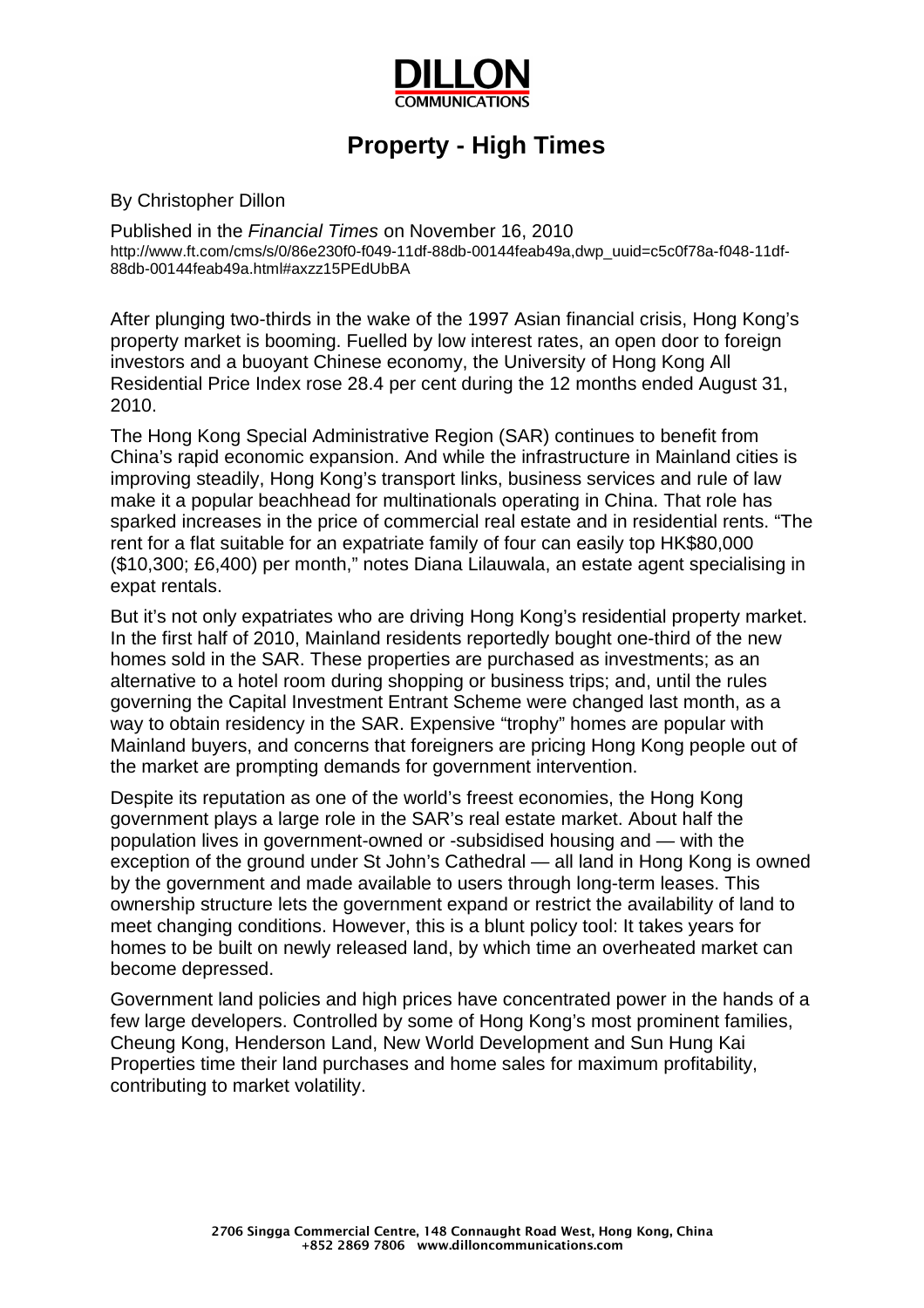

## **Property - High Times**

By Christopher Dillon

Published in the *Financial Times* on November 16, 2010 http://www.ft.com/cms/s/0/86e230f0-f049-11df-88db-00144feab49a,dwp\_uuid=c5c0f78a-f048-11df-88db-00144feab49a.html#axzz15PEdUbBA

After plunging two-thirds in the wake of the 1997 Asian financial crisis, Hong Kong's property market is booming. Fuelled by low interest rates, an open door to foreign investors and a buoyant Chinese economy, the University of Hong Kong All Residential Price Index rose 28.4 per cent during the 12 months ended August 31, 2010.

The Hong Kong Special Administrative Region (SAR) continues to benefit from China's rapid economic expansion. And while the infrastructure in Mainland cities is improving steadily, Hong Kong's transport links, business services and rule of law make it a popular beachhead for multinationals operating in China. That role has sparked increases in the price of commercial real estate and in residential rents. "The rent for a flat suitable for an expatriate family of four can easily top HK\$80,000 (\$10,300; £6,400) per month," notes Diana Lilauwala, an estate agent specialising in expat rentals.

But it's not only expatriates who are driving Hong Kong's residential property market. In the first half of 2010, Mainland residents reportedly bought one-third of the new homes sold in the SAR. These properties are purchased as investments; as an alternative to a hotel room during shopping or business trips; and, until the rules governing the Capital Investment Entrant Scheme were changed last month, as a way to obtain residency in the SAR. Expensive "trophy" homes are popular with Mainland buyers, and concerns that foreigners are pricing Hong Kong people out of the market are prompting demands for government intervention.

Despite its reputation as one of the world's freest economies, the Hong Kong government plays a large role in the SAR's real estate market. About half the population lives in government-owned or -subsidised housing and — with the exception of the ground under St John's Cathedral — all land in Hong Kong is owned by the government and made available to users through long-term leases. This ownership structure lets the government expand or restrict the availability of land to meet changing conditions. However, this is a blunt policy tool: It takes years for homes to be built on newly released land, by which time an overheated market can become depressed.

Government land policies and high prices have concentrated power in the hands of a few large developers. Controlled by some of Hong Kong's most prominent families, Cheung Kong, Henderson Land, New World Development and Sun Hung Kai Properties time their land purchases and home sales for maximum profitability, contributing to market volatility.